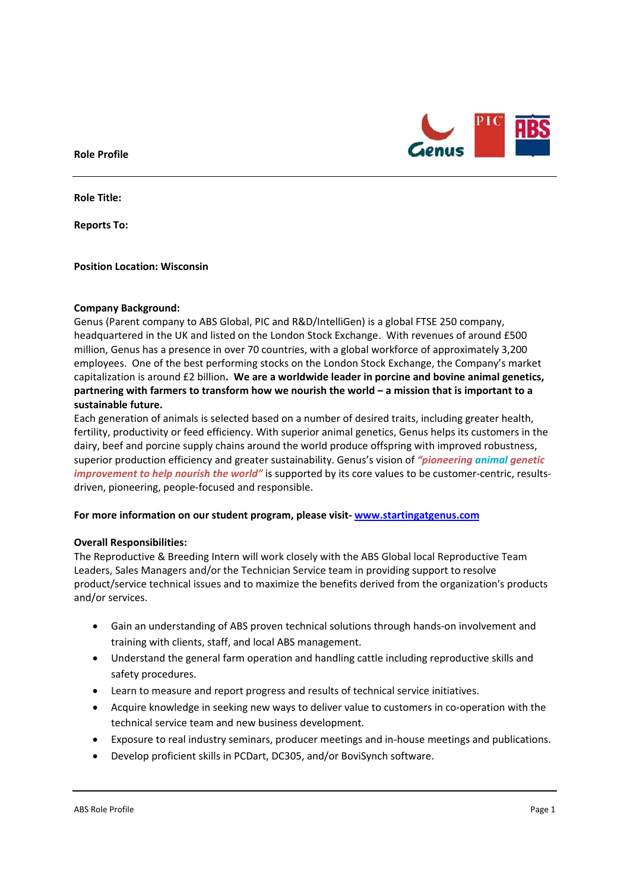

**Role Title:** 

**Reports To:** 

**Position Location: Wisconsin** 

# **Company Background:**

Genus (Parent company to ABS Global, PIC and R&D/IntelliGen) is a global FTSE 250 company, headquartered in the UK and listed on the London Stock Exchange. With revenues of around £500 million, Genus has a presence in over 70 countries, with a global workforce of approximately 3,200 employees. One of the best performing stocks on the London Stock Exchange, the Company's market capitalization is around £2 billion**. We are a worldwide leader in porcine and bovine animal genetics, partnering with farmers to transform how we nourish the world – a mission that is important to a sustainable future.** 

Each generation of animals is selected based on a number of desired traits, including greater health, fertility, productivity or feed efficiency. With superior animal genetics, Genus helps its customers in the dairy, beef and porcine supply chains around the world produce offspring with improved robustness, superior production efficiency and greater sustainability. Genus's vision of *"pioneering animal genetic improvement to help nourish the world"* is supported by its core values to be customer-centric, resultsdriven, pioneering, people‐focused and responsible.

## **For more information on our student program, please visit‐ www.startingatgenus.com**

## **Overall Responsibilities:**

The Reproductive & Breeding Intern will work closely with the ABS Global local Reproductive Team Leaders, Sales Managers and/or the Technician Service team in providing support to resolve product/service technical issues and to maximize the benefits derived from the organization's products and/or services.

- Gain an understanding of ABS proven technical solutions through hands‐on involvement and training with clients, staff, and local ABS management.
- Understand the general farm operation and handling cattle including reproductive skills and safety procedures.
- Learn to measure and report progress and results of technical service initiatives.
- Acquire knowledge in seeking new ways to deliver value to customers in co-operation with the technical service team and new business development.
- Exposure to real industry seminars, producer meetings and in‐house meetings and publications.
- Develop proficient skills in PCDart, DC305, and/or BoviSynch software.